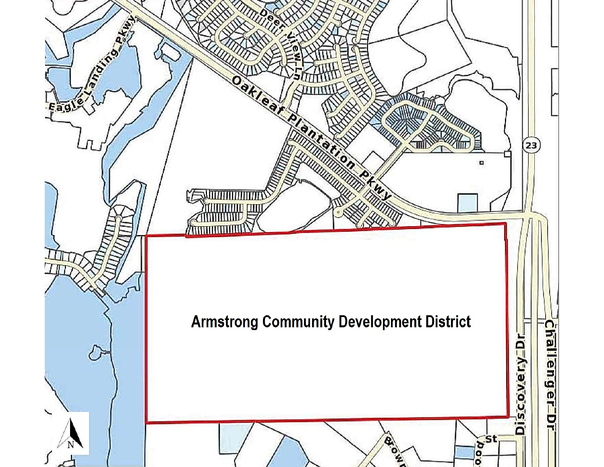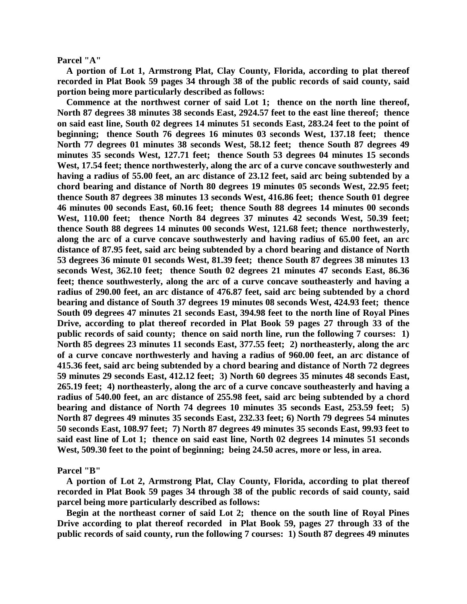**Parcel "A"**

 **A portion of Lot 1, Armstrong Plat, Clay County, Florida, according to plat thereof recorded in Plat Book 59 pages 34 through 38 of the public records of said county, said portion being more particularly described as follows:**

 **Commence at the northwest corner of said Lot 1; thence on the north line thereof, North 87 degrees 38 minutes 38 seconds East, 2924.57 feet to the east line thereof; thence on said east line, South 02 degrees 14 minutes 51 seconds East, 283.24 feet to the point of beginning; thence South 76 degrees 16 minutes 03 seconds West, 137.18 feet; thence North 77 degrees 01 minutes 38 seconds West, 58.12 feet; thence South 87 degrees 49 minutes 35 seconds West, 127.71 feet; thence South 53 degrees 04 minutes 15 seconds West, 17.54 feet; thence northwesterly, along the arc of a curve concave southwesterly and having a radius of 55.00 feet, an arc distance of 23.12 feet, said arc being subtended by a chord bearing and distance of North 80 degrees 19 minutes 05 seconds West, 22.95 feet; thence South 87 degrees 38 minutes 13 seconds West, 416.86 feet; thence South 01 degree 46 minutes 00 seconds East, 60.16 feet; thence South 88 degrees 14 minutes 00 seconds West, 110.00 feet; thence North 84 degrees 37 minutes 42 seconds West, 50.39 feet; thence South 88 degrees 14 minutes 00 seconds West, 121.68 feet; thence northwesterly, along the arc of a curve concave southwesterly and having radius of 65.00 feet, an arc distance of 87.95 feet, said arc being subtended by a chord bearing and distance of North 53 degrees 36 minute 01 seconds West, 81.39 feet; thence South 87 degrees 38 minutes 13 seconds West, 362.10 feet; thence South 02 degrees 21 minutes 47 seconds East, 86.36 feet; thence southwesterly, along the arc of a curve concave southeasterly and having a radius of 290.00 feet, an arc distance of 476.87 feet, said arc being subtended by a chord bearing and distance of South 37 degrees 19 minutes 08 seconds West, 424.93 feet; thence South 09 degrees 47 minutes 21 seconds East, 394.98 feet to the north line of Royal Pines Drive, according to plat thereof recorded in Plat Book 59 pages 27 through 33 of the public records of said county; thence on said north line, run the following 7 courses: 1) North 85 degrees 23 minutes 11 seconds East, 377.55 feet; 2) northeasterly, along the arc of a curve concave northwesterly and having a radius of 960.00 feet, an arc distance of 415.36 feet, said arc being subtended by a chord bearing and distance of North 72 degrees 59 minutes 29 seconds East, 412.12 feet; 3) North 60 degrees 35 minutes 48 seconds East, 265.19 feet; 4) northeasterly, along the arc of a curve concave southeasterly and having a radius of 540.00 feet, an arc distance of 255.98 feet, said arc being subtended by a chord bearing and distance of North 74 degrees 10 minutes 35 seconds East, 253.59 feet; 5) North 87 degrees 49 minutes 35 seconds East, 232.33 feet; 6) North 79 degrees 54 minutes 50 seconds East, 108.97 feet; 7) North 87 degrees 49 minutes 35 seconds East, 99.93 feet to said east line of Lot 1; thence on said east line, North 02 degrees 14 minutes 51 seconds West, 509.30 feet to the point of beginning; being 24.50 acres, more or less, in area.**

**Parcel "B"**

 **A portion of Lot 2, Armstrong Plat, Clay County, Florida, according to plat thereof recorded in Plat Book 59 pages 34 through 38 of the public records of said county, said parcel being more particularly described as follows:**

 **Begin at the northeast corner of said Lot 2; thence on the south line of Royal Pines Drive according to plat thereof recorded in Plat Book 59, pages 27 through 33 of the public records of said county, run the following 7 courses: 1) South 87 degrees 49 minutes**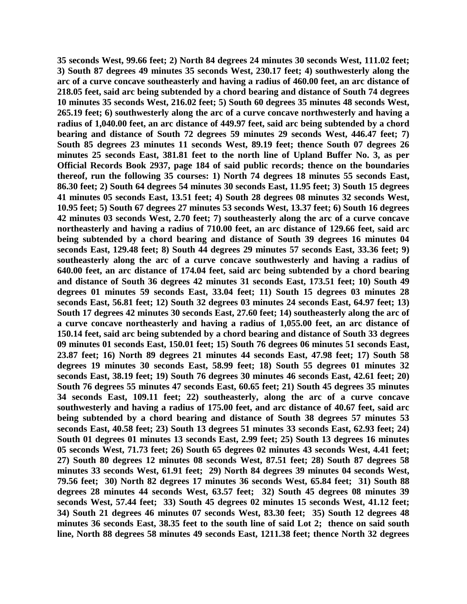**35 seconds West, 99.66 feet; 2) North 84 degrees 24 minutes 30 seconds West, 111.02 feet; 3) South 87 degrees 49 minutes 35 seconds West, 230.17 feet; 4) southwesterly along the arc of a curve concave southeasterly and having a radius of 460.00 feet, an arc distance of 218.05 feet, said arc being subtended by a chord bearing and distance of South 74 degrees 10 minutes 35 seconds West, 216.02 feet; 5) South 60 degrees 35 minutes 48 seconds West, 265.19 feet; 6) southwesterly along the arc of a curve concave northwesterly and having a radius of 1,040.00 feet, an arc distance of 449.97 feet, said arc being subtended by a chord bearing and distance of South 72 degrees 59 minutes 29 seconds West, 446.47 feet; 7) South 85 degrees 23 minutes 11 seconds West, 89.19 feet; thence South 07 degrees 26 minutes 25 seconds East, 381.81 feet to the north line of Upland Buffer No. 3, as per Official Records Book 2937, page 184 of said public records; thence on the boundaries thereof, run the following 35 courses: 1) North 74 degrees 18 minutes 55 seconds East, 86.30 feet; 2) South 64 degrees 54 minutes 30 seconds East, 11.95 feet; 3) South 15 degrees 41 minutes 05 seconds East, 13.51 feet; 4) South 28 degrees 08 minutes 32 seconds West, 10.95 feet; 5) South 67 degrees 27 minutes 53 seconds West, 13.37 feet; 6) South 16 degrees 42 minutes 03 seconds West, 2.70 feet; 7) southeasterly along the arc of a curve concave northeasterly and having a radius of 710.00 feet, an arc distance of 129.66 feet, said arc being subtended by a chord bearing and distance of South 39 degrees 16 minutes 04 seconds East, 129.48 feet; 8) South 44 degrees 29 minutes 57 seconds East, 33.36 feet; 9) southeasterly along the arc of a curve concave southwesterly and having a radius of 640.00 feet, an arc distance of 174.04 feet, said arc being subtended by a chord bearing and distance of South 36 degrees 42 minutes 31 seconds East, 173.51 feet; 10) South 49 degrees 01 minutes 59 seconds East, 33.04 feet; 11) South 15 degrees 03 minutes 28 seconds East, 56.81 feet; 12) South 32 degrees 03 minutes 24 seconds East, 64.97 feet; 13) South 17 degrees 42 minutes 30 seconds East, 27.60 feet; 14) southeasterly along the arc of a curve concave northeasterly and having a radius of 1,055.00 feet, an arc distance of 150.14 feet, said arc being subtended by a chord bearing and distance of South 33 degrees 09 minutes 01 seconds East, 150.01 feet; 15) South 76 degrees 06 minutes 51 seconds East, 23.87 feet; 16) North 89 degrees 21 minutes 44 seconds East, 47.98 feet; 17) South 58 degrees 19 minutes 30 seconds East, 58.99 feet; 18) South 55 degrees 01 minutes 32 seconds East, 38.19 feet; 19) South 76 degrees 30 minutes 46 seconds East, 42.61 feet; 20) South 76 degrees 55 minutes 47 seconds East, 60.65 feet; 21) South 45 degrees 35 minutes 34 seconds East, 109.11 feet; 22) southeasterly, along the arc of a curve concave southwesterly and having a radius of 175.00 feet, and arc distance of 40.67 feet, said arc being subtended by a chord bearing and distance of South 38 degrees 57 minutes 53 seconds East, 40.58 feet; 23) South 13 degrees 51 minutes 33 seconds East, 62.93 feet; 24) South 01 degrees 01 minutes 13 seconds East, 2.99 feet; 25) South 13 degrees 16 minutes 05 seconds West, 71.73 feet; 26) South 65 degrees 02 minutes 43 seconds West, 4.41 feet; 27) South 80 degrees 12 minutes 08 seconds West, 87.51 feet; 28) South 87 degrees 58 minutes 33 seconds West, 61.91 feet; 29) North 84 degrees 39 minutes 04 seconds West, 79.56 feet; 30) North 82 degrees 17 minutes 36 seconds West, 65.84 feet; 31) South 88 degrees 28 minutes 44 seconds West, 63.57 feet; 32) South 45 degrees 08 minutes 39 seconds West, 57.44 feet; 33) South 45 degrees 02 minutes 15 seconds West, 41.12 feet; 34) South 21 degrees 46 minutes 07 seconds West, 83.30 feet; 35) South 12 degrees 48 minutes 36 seconds East, 38.35 feet to the south line of said Lot 2; thence on said south line, North 88 degrees 58 minutes 49 seconds East, 1211.38 feet; thence North 32 degrees**